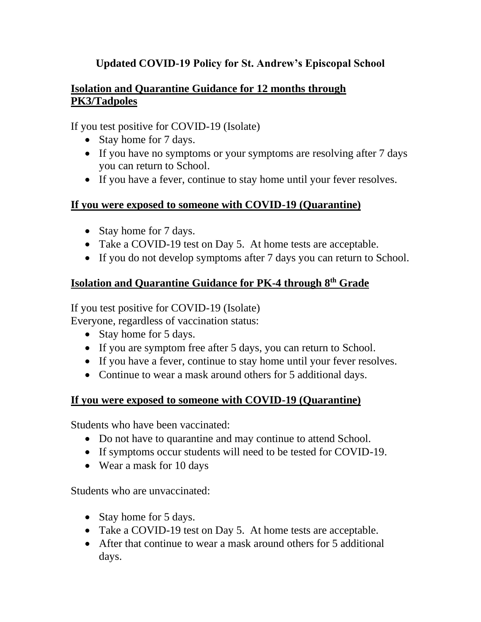# **Updated COVID-19 Policy for St. Andrew's Episcopal School**

## **Isolation and Quarantine Guidance for 12 months through PK3/Tadpoles**

If you test positive for COVID-19 (Isolate)

- Stay home for 7 days.
- If you have no symptoms or your symptoms are resolving after 7 days you can return to School.
- If you have a fever, continue to stay home until your fever resolves.

#### **If you were exposed to someone with COVID-19 (Quarantine)**

- Stay home for 7 days.
- Take a COVID-19 test on Day 5. At home tests are acceptable.
- If you do not develop symptoms after 7 days you can return to School.

## **Isolation and Quarantine Guidance for PK-4 through 8th Grade**

If you test positive for COVID-19 (Isolate)

Everyone, regardless of vaccination status:

- Stay home for 5 days.
- If you are symptom free after 5 days, you can return to School.
- If you have a fever, continue to stay home until your fever resolves.
- Continue to wear a mask around others for 5 additional days.

#### **If you were exposed to someone with COVID-19 (Quarantine)**

Students who have been vaccinated:

- Do not have to quarantine and may continue to attend School.
- If symptoms occur students will need to be tested for COVID-19.
- Wear a mask for 10 days

Students who are unvaccinated:

- Stay home for 5 days.
- Take a COVID-19 test on Day 5. At home tests are acceptable.
- After that continue to wear a mask around others for 5 additional days.